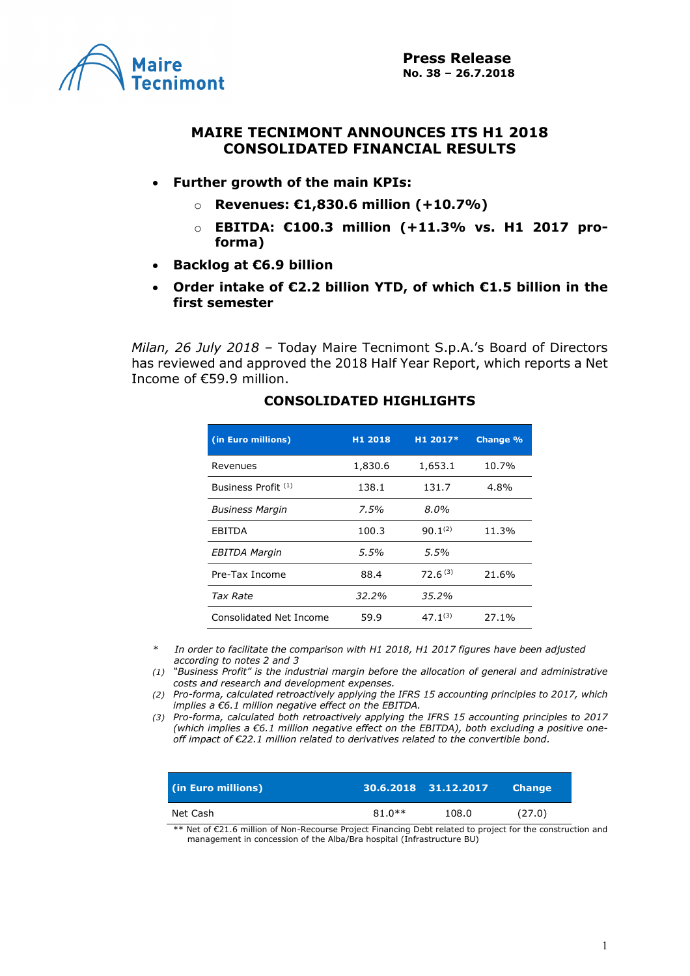

### **MAIRE TECNIMONT ANNOUNCES ITS H1 2018 CONSOLIDATED FINANCIAL RESULTS**

- **Further growth of the main KPIs:**
	- o **Revenues: €1,830.6 million (+10.7%)**
	- o **EBITDA: €100.3 million (+11.3% vs. H1 2017 proforma)**
- **Backlog at €6.9 billion**
- **Order intake of €2.2 billion YTD, of which €1.5 billion in the first semester**

*Milan, 26 July 2018 –* Today Maire Tecnimont S.p.A.'s Board of Directors has reviewed and approved the 2018 Half Year Report, which reports a Net Income of €59.9 million.

| (in Euro millions)             | H1 2018 | H1 2017*     | <b>Change %</b> |
|--------------------------------|---------|--------------|-----------------|
| Revenues                       | 1,830.6 | 1,653.1      | 10.7%           |
| Business Profit <sup>(1)</sup> | 138.1   | 131.7        | 4.8%            |
| <b>Business Margin</b>         | $7.5\%$ | 8.0%         |                 |
| <b>EBITDA</b>                  | 100.3   | $90.1^{(2)}$ | 11.3%           |
| EBITDA Margin                  | 5.5%    | 5.5%         |                 |
| Pre-Tax Income                 | 88.4    | $72.6^{(3)}$ | 21.6%           |
| Tax Rate                       | 32.2%   | 35.2%        |                 |
| Consolidated Net Income        | 59.9    | $47.1^{(3)}$ | 27.1%           |

# **CONSOLIDATED HIGHLIGHTS**

*\* In order to facilitate the comparison with H1 2018, H1 2017 figures have been adjusted according to notes 2 and 3*

*(1) "Business Profit" is the industrial margin before the allocation of general and administrative costs and research and development expenses.*

*(2) Pro-forma, calculated retroactively applying the IFRS 15 accounting principles to 2017, which implies a €6.1 million negative effect on the EBITDA.*

*(3) Pro-forma, calculated both retroactively applying the IFRS 15 accounting principles to 2017 (which implies a €6.1 million negative effect on the EBITDA), both excluding a positive oneoff impact of €22.1 million related to derivatives related to the convertible bond.*

| (in Euro millions) |          | 30.6.2018 31.12.2017' | <b>Change</b> |
|--------------------|----------|-----------------------|---------------|
| Net Cash           | $81.0**$ | 108.0                 | (27.0)        |

\*\* Net of €21.6 million of Non-Recourse Project Financing Debt related to project for the construction and management in concession of the Alba/Bra hospital (Infrastructure BU)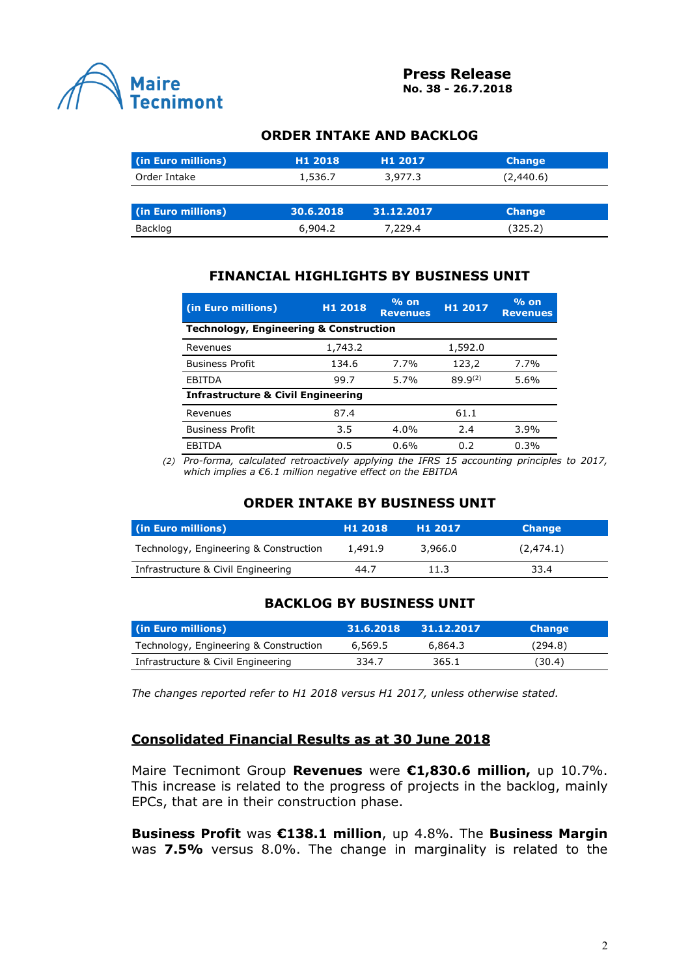

## **ORDER INTAKE AND BACKLOG**

| (in Euro millions) | H <sub>1</sub> 2018 | H <sub>1</sub> 2017 | <b>Change</b> |
|--------------------|---------------------|---------------------|---------------|
| Order Intake       | 1,536.7             | 3,977.3             | (2,440.6)     |
|                    |                     |                     |               |
| (in Euro millions) | 30.6.2018           | 31.12.2017          | <b>Change</b> |
| Backlog            | 6,904.2             | 7,229.4             | (325.2)       |

# **FINANCIAL HIGHLIGHTS BY BUSINESS UNIT**

| (in Euro millions)                                | H1 2018 | $%$ on<br><b>Revenues</b> | H1 2017      | $%$ on<br><b>Revenues</b> |  |  |  |
|---------------------------------------------------|---------|---------------------------|--------------|---------------------------|--|--|--|
| <b>Technology, Engineering &amp; Construction</b> |         |                           |              |                           |  |  |  |
| Revenues                                          | 1,743.2 |                           | 1,592.0      |                           |  |  |  |
| <b>Business Profit</b>                            | 134.6   | 7.7%                      | 123,2        | 7.7%                      |  |  |  |
| EBITDA                                            | 99.7    | 5.7%                      | $89.9^{(2)}$ | 5.6%                      |  |  |  |
| <b>Infrastructure &amp; Civil Engineering</b>     |         |                           |              |                           |  |  |  |
| Revenues                                          | 87.4    |                           | 61.1         |                           |  |  |  |
| <b>Business Profit</b>                            | 3.5     | 4.0%                      | 2.4          | 3.9%                      |  |  |  |
| FBITDA                                            | 0.5     | 0.6%                      | 0.2          | 0.3%                      |  |  |  |

*(2) Pro-forma, calculated retroactively applying the IFRS 15 accounting principles to 2017, which implies a €6.1 million negative effect on the EBITDA*

#### **ORDER INTAKE BY BUSINESS UNIT**

| (in Euro millions)                     | H <sub>1</sub> 2018 | H <sub>1</sub> 2017 | <b>Change</b> |  |
|----------------------------------------|---------------------|---------------------|---------------|--|
| Technology, Engineering & Construction | 1,491.9             | 3.966.0             | (2, 474.1)    |  |
| Infrastructure & Civil Engineering     | 44.7                | 11.3                | 33.4          |  |

#### **BACKLOG BY BUSINESS UNIT**

| (in Euro millions)                     | 31.6.2018 | 31.12.2017 | <b>Change</b> |
|----------------------------------------|-----------|------------|---------------|
| Technology, Engineering & Construction | 6,569.5   | 6.864.3    | (294.8)       |
| Infrastructure & Civil Engineering     | 334.7     | 365.1      | (30.4)        |

*The changes reported refer to H1 2018 versus H1 2017, unless otherwise stated.*

#### **Consolidated Financial Results as at 30 June 2018**

Maire Tecnimont Group **Revenues** were **€1,830.6 million,** up 10.7%. This increase is related to the progress of projects in the backlog, mainly EPCs, that are in their construction phase.

**Business Profit** was **€138.1 million**, up 4.8%. The **Business Margin**  was **7.5%** versus 8.0%. The change in marginality is related to the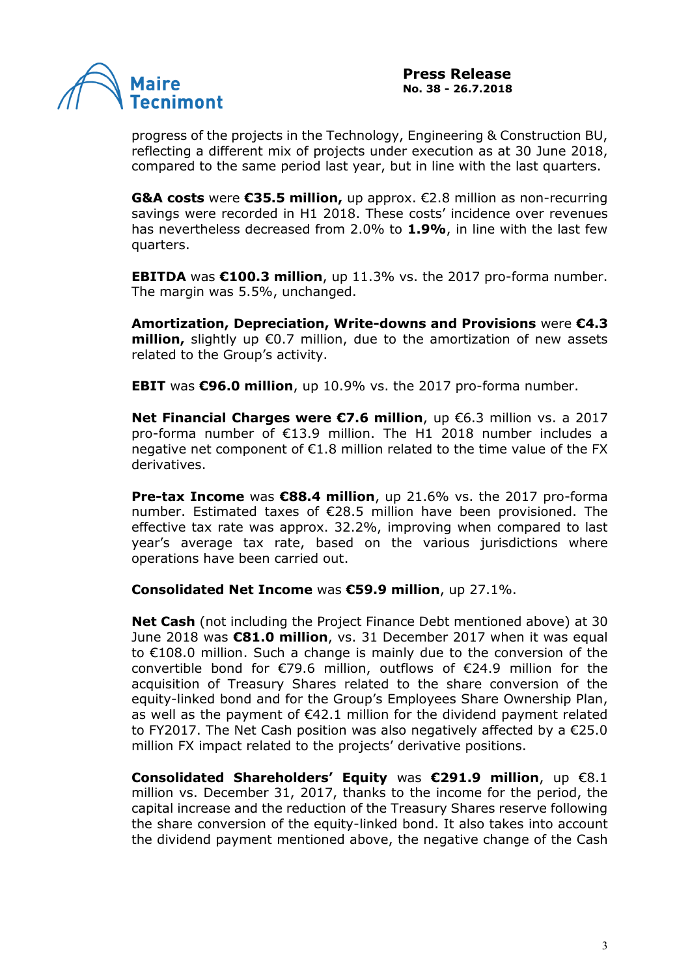

progress of the projects in the Technology, Engineering & Construction BU, reflecting a different mix of projects under execution as at 30 June 2018, compared to the same period last year, but in line with the last quarters.

**G&A costs** were **€35.5 million,** up approx. €2.8 million as non-recurring savings were recorded in H1 2018. These costs' incidence over revenues has nevertheless decreased from 2.0% to **1.9%**, in line with the last few quarters.

**EBITDA** was **€100.3 million**, up 11.3% vs. the 2017 pro-forma number. The margin was 5.5%, unchanged.

**Amortization, Depreciation, Write-downs and Provisions** were **€4.3 million,** slightly up €0.7 million, due to the amortization of new assets related to the Group's activity.

**EBIT** was **€96.0 million**, up 10.9% vs. the 2017 pro-forma number.

**Net Financial Charges were €7.6 million**, up €6.3 million vs. a 2017 pro-forma number of €13.9 million. The H1 2018 number includes a negative net component of €1.8 million related to the time value of the FX derivatives.

**Pre-tax Income** was **€88.4 million**, up 21.6% vs. the 2017 pro-forma number. Estimated taxes of €28.5 million have been provisioned. The effective tax rate was approx. 32.2%, improving when compared to last year's average tax rate, based on the various jurisdictions where operations have been carried out.

#### **Consolidated Net Income** was **€59.9 million**, up 27.1%.

**Net Cash** (not including the Project Finance Debt mentioned above) at 30 June 2018 was **€81.0 million**, vs. 31 December 2017 when it was equal to €108.0 million. Such a change is mainly due to the conversion of the convertible bond for €79.6 million, outflows of €24.9 million for the acquisition of Treasury Shares related to the share conversion of the equity-linked bond and for the Group's Employees Share Ownership Plan, as well as the payment of  $\epsilon$ 42.1 million for the dividend payment related to FY2017. The Net Cash position was also negatively affected by a €25.0 million FX impact related to the projects' derivative positions.

**Consolidated Shareholders' Equity** was **€291.9 million**, up €8.1 million vs. December 31, 2017, thanks to the income for the period, the capital increase and the reduction of the Treasury Shares reserve following the share conversion of the equity-linked bond. It also takes into account the dividend payment mentioned above, the negative change of the Cash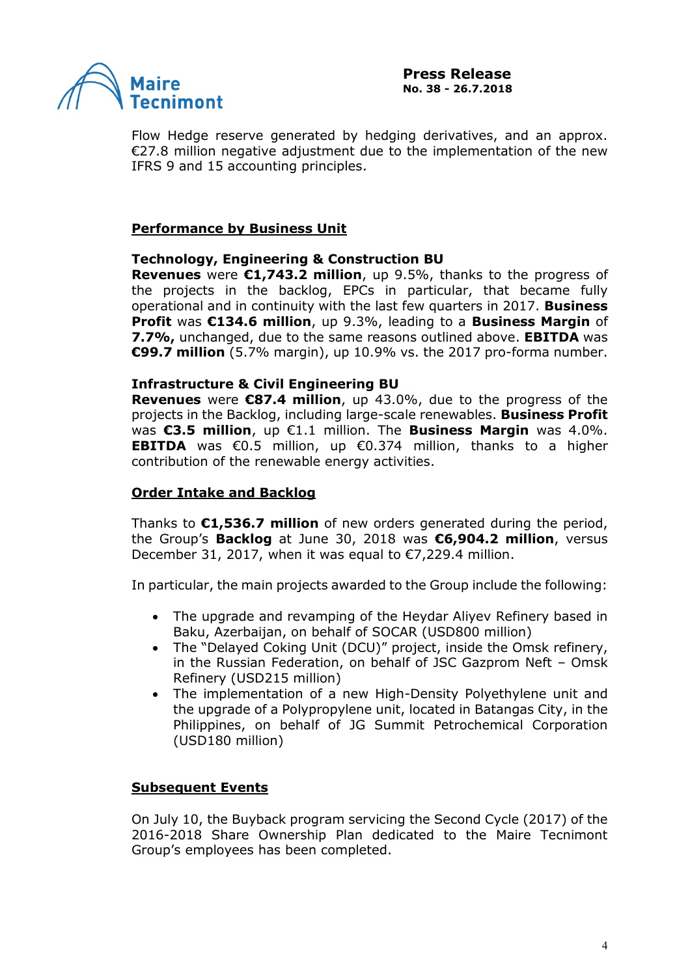

Flow Hedge reserve generated by hedging derivatives, and an approx. €27.8 million negative adjustment due to the implementation of the new IFRS 9 and 15 accounting principles.

## **Performance by Business Unit**

#### **Technology, Engineering & Construction BU**

**Revenues** were **€1,743.2 million**, up 9.5%, thanks to the progress of the projects in the backlog, EPCs in particular, that became fully operational and in continuity with the last few quarters in 2017. **Business Profit** was **€134.6 million**, up 9.3%, leading to a **Business Margin** of **7.7%,** unchanged, due to the same reasons outlined above. **EBITDA** was **€99.7 million** (5.7% margin), up 10.9% vs. the 2017 pro-forma number.

### **Infrastructure & Civil Engineering BU**

**Revenues** were **€87.4 million**, up 43.0%, due to the progress of the projects in the Backlog, including large-scale renewables. **Business Profit**  was **€3.5 million**, up €1.1 million. The **Business Margin** was 4.0%. **EBITDA** was €0.5 million, up €0.374 million, thanks to a higher contribution of the renewable energy activities.

## **Order Intake and Backlog**

Thanks to **€1,536.7 million** of new orders generated during the period, the Group's **Backlog** at June 30, 2018 was **€6,904.2 million**, versus December 31, 2017, when it was equal to  $\epsilon$ 7,229.4 million.

In particular, the main projects awarded to the Group include the following:

- The upgrade and revamping of the Heydar Aliyev Refinery based in Baku, Azerbaijan, on behalf of SOCAR (USD800 million)
- The "Delayed Coking Unit (DCU)" project, inside the Omsk refinery, in the Russian Federation, on behalf of JSC Gazprom Neft – Omsk Refinery (USD215 million)
- The implementation of a new High-Density Polyethylene unit and the upgrade of a Polypropylene unit, located in Batangas City, in the Philippines, on behalf of JG Summit Petrochemical Corporation (USD180 million)

#### **Subsequent Events**

On July 10, the Buyback program servicing the Second Cycle (2017) of the 2016-2018 Share Ownership Plan dedicated to the Maire Tecnimont Group's employees has been completed.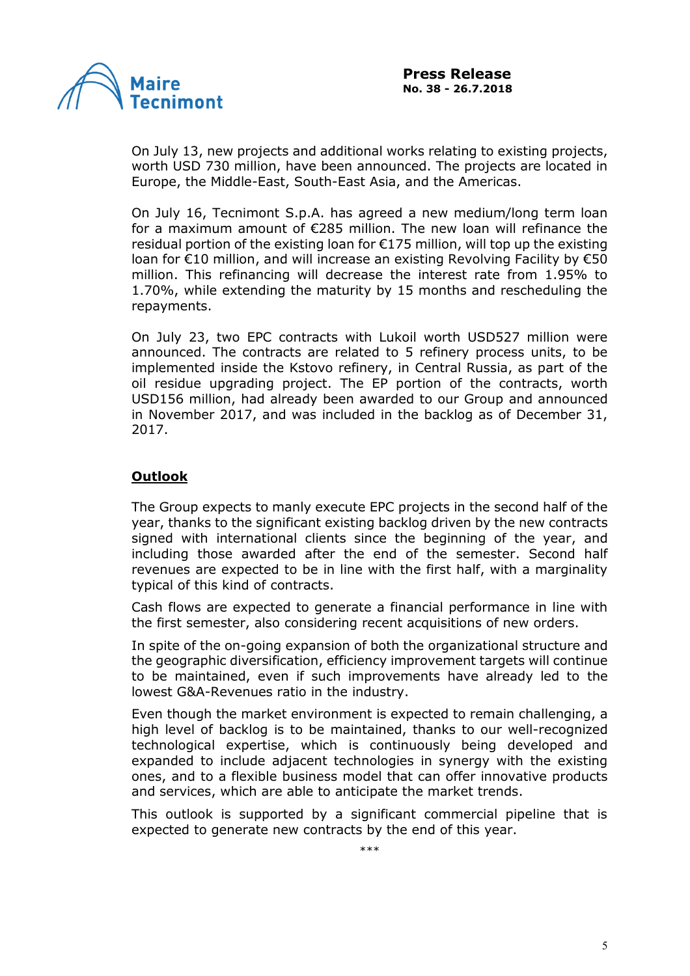

On July 13, new projects and additional works relating to existing projects, worth USD 730 million, have been announced. The projects are located in Europe, the Middle-East, South-East Asia, and the Americas.

On July 16, Tecnimont S.p.A. has agreed a new medium/long term loan for a maximum amount of €285 million. The new loan will refinance the residual portion of the existing loan for  $\epsilon$ 175 million, will top up the existing loan for €10 million, and will increase an existing Revolving Facility by €50 million. This refinancing will decrease the interest rate from 1.95% to 1.70%, while extending the maturity by 15 months and rescheduling the repayments.

On July 23, two EPC contracts with Lukoil worth USD527 million were announced. The contracts are related to 5 refinery process units, to be implemented inside the Kstovo refinery, in Central Russia, as part of the oil residue upgrading project. The EP portion of the contracts, worth USD156 million, had already been awarded to our Group and announced in November 2017, and was included in the backlog as of December 31, 2017.

# **Outlook**

The Group expects to manly execute EPC projects in the second half of the year, thanks to the significant existing backlog driven by the new contracts signed with international clients since the beginning of the year, and including those awarded after the end of the semester. Second half revenues are expected to be in line with the first half, with a marginality typical of this kind of contracts.

Cash flows are expected to generate a financial performance in line with the first semester, also considering recent acquisitions of new orders.

In spite of the on-going expansion of both the organizational structure and the geographic diversification, efficiency improvement targets will continue to be maintained, even if such improvements have already led to the lowest G&A-Revenues ratio in the industry.

Even though the market environment is expected to remain challenging, a high level of backlog is to be maintained, thanks to our well-recognized technological expertise, which is continuously being developed and expanded to include adjacent technologies in synergy with the existing ones, and to a flexible business model that can offer innovative products and services, which are able to anticipate the market trends.

This outlook is supported by a significant commercial pipeline that is expected to generate new contracts by the end of this year.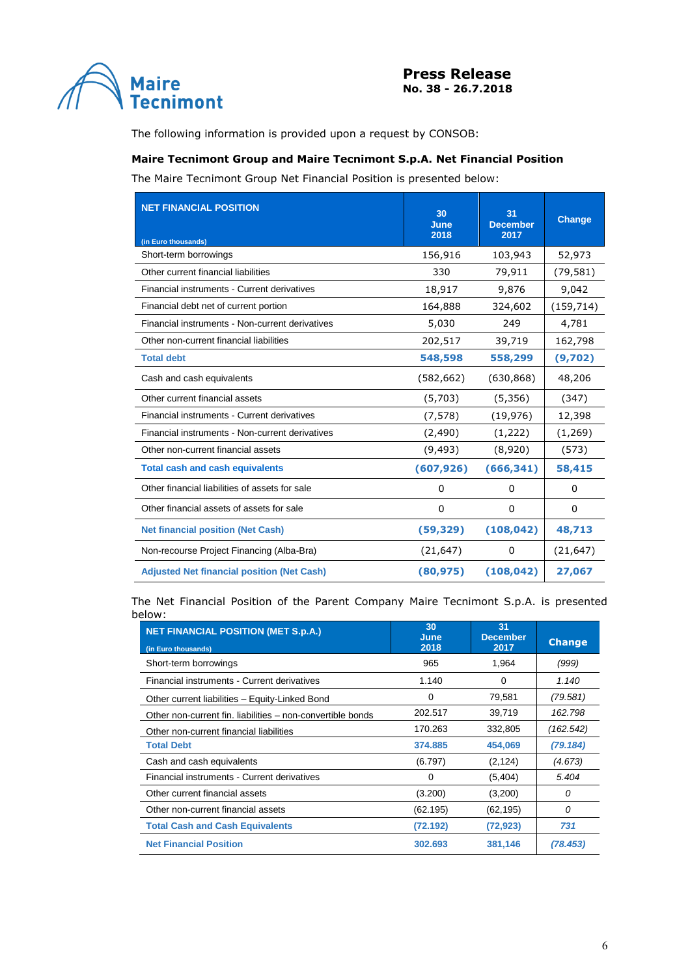

The following information is provided upon a request by CONSOB:

#### **Maire Tecnimont Group and Maire Tecnimont S.p.A. Net Financial Position**

The Maire Tecnimont Group Net Financial Position is presented below:

| <b>NET FINANCIAL POSITION</b>                     | 30<br>June<br>2018 | 31<br><b>December</b><br>2017 | <b>Change</b> |
|---------------------------------------------------|--------------------|-------------------------------|---------------|
| (in Euro thousands)<br>Short-term borrowings      | 156,916            | 103,943                       | 52,973        |
| Other current financial liabilities               | 330                | 79,911                        | (79, 581)     |
|                                                   |                    |                               |               |
| Financial instruments - Current derivatives       | 18,917             | 9,876                         | 9,042         |
| Financial debt net of current portion             | 164,888            | 324,602                       | (159, 714)    |
| Financial instruments - Non-current derivatives   | 5,030              | 249                           | 4,781         |
| Other non-current financial liabilities           | 202,517            | 39,719                        | 162,798       |
| <b>Total debt</b>                                 | 548,598            | 558,299                       | (9,702)       |
| Cash and cash equivalents                         | (582, 662)         | (630, 868)                    | 48,206        |
| Other current financial assets                    | (5,703)            | (5,356)                       | (347)         |
| Financial instruments - Current derivatives       | (7, 578)           | (19, 976)                     | 12,398        |
| Financial instruments - Non-current derivatives   | (2, 490)           | (1,222)                       | (1,269)       |
| Other non-current financial assets                | (9, 493)           | (8,920)                       | (573)         |
| <b>Total cash and cash equivalents</b>            | (607, 926)         | (666, 341)                    | 58,415        |
| Other financial liabilities of assets for sale    | $\Omega$           | 0                             | 0             |
| Other financial assets of assets for sale         | $\Omega$           | 0                             | $\mathbf{0}$  |
| <b>Net financial position (Net Cash)</b>          | (59, 329)          | (108, 042)                    | 48,713        |
| Non-recourse Project Financing (Alba-Bra)         | (21, 647)          | 0                             | (21, 647)     |
| <b>Adjusted Net financial position (Net Cash)</b> | (80, 975)          | (108, 042)                    | 27,067        |

The Net Financial Position of the Parent Company Maire Tecnimont S.p.A. is presented below:

| <b>NET FINANCIAL POSITION (MET S.p.A.)</b>                 | 30<br>June | 31<br><b>December</b> |               |
|------------------------------------------------------------|------------|-----------------------|---------------|
| (in Euro thousands)                                        | 2018       | 2017                  | <b>Change</b> |
| Short-term borrowings                                      | 965        | 1,964                 | (999)         |
| Financial instruments - Current derivatives                | 1.140      | 0                     | 1.140         |
| Other current liabilities - Equity-Linked Bond             | 0          | 79,581                | (79.581)      |
| Other non-current fin. liabilities – non-convertible bonds | 202.517    | 39,719                | 162.798       |
| Other non-current financial liabilities                    | 170.263    | 332,805               | (162.542)     |
| <b>Total Debt</b>                                          | 374.885    | 454,069               | (79.184)      |
| Cash and cash equivalents                                  | (6.797)    | (2, 124)              | (4.673)       |
| Financial instruments - Current derivatives                | 0          | (5,404)               | 5.404         |
| Other current financial assets                             | (3.200)    | (3,200)               | 0             |
| Other non-current financial assets                         | (62.195)   | (62, 195)             | 0             |
| <b>Total Cash and Cash Equivalents</b>                     | (72.192)   | (72, 923)             | 731           |
| <b>Net Financial Position</b>                              | 302.693    | 381,146               | (78.453)      |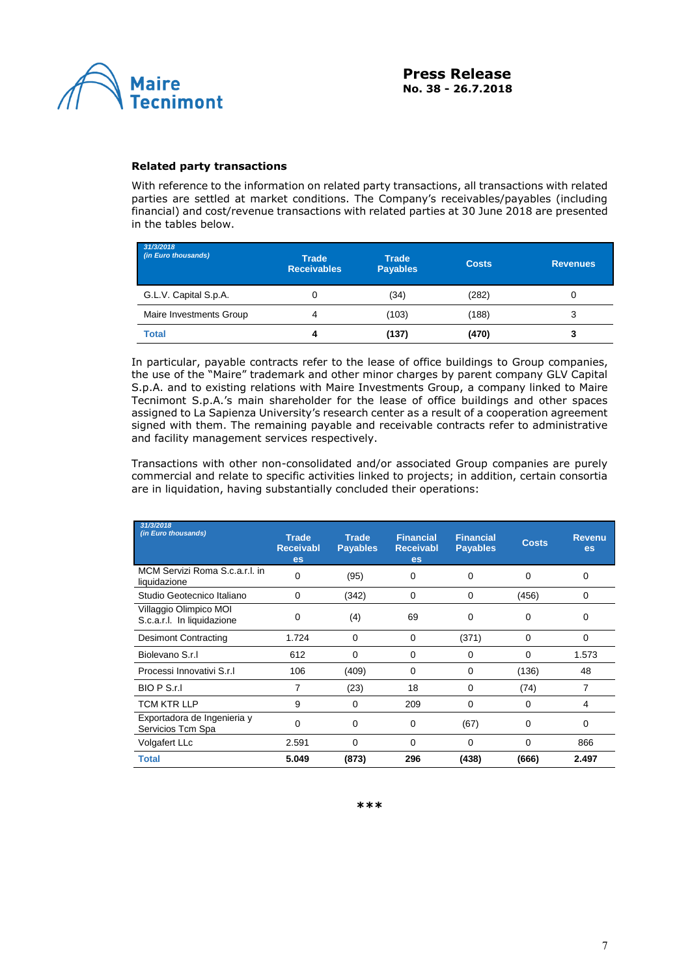

#### **Related party transactions**

With reference to the information on related party transactions, all transactions with related parties are settled at market conditions. The Company's receivables/payables (including financial) and cost/revenue transactions with related parties at 30 June 2018 are presented in the tables below.

| 31/3/2018<br>(in Euro thousands) | <b>Trade</b><br><b>Receivables</b> | <b>Trade</b><br><b>Payables</b> | <b>Costs</b> | <b>Revenues</b> |
|----------------------------------|------------------------------------|---------------------------------|--------------|-----------------|
| G.L.V. Capital S.p.A.            | 0                                  | (34)                            | (282)        |                 |
| Maire Investments Group          | 4                                  | (103)                           | (188)        | 3               |
| <b>Total</b>                     | 4                                  | (137)                           | (470)        | 3               |

In particular, payable contracts refer to the lease of office buildings to Group companies, the use of the "Maire" trademark and other minor charges by parent company GLV Capital S.p.A. and to existing relations with Maire Investments Group, a company linked to Maire Tecnimont S.p.A.'s main shareholder for the lease of office buildings and other spaces assigned to La Sapienza University's research center as a result of a cooperation agreement signed with them. The remaining payable and receivable contracts refer to administrative and facility management services respectively.

Transactions with other non-consolidated and/or associated Group companies are purely commercial and relate to specific activities linked to projects; in addition, certain consortia are in liquidation, having substantially concluded their operations:

| 31/3/2018<br>(in Euro thousands)                     | <b>Trade</b><br><b>Receivabl</b><br>es | <b>Trade</b><br><b>Payables</b> | <b>Financial</b><br><b>Receivabl</b><br>es | <b>Financial</b><br><b>Payables</b> | <b>Costs</b> | <b>Revenu</b><br>es |
|------------------------------------------------------|----------------------------------------|---------------------------------|--------------------------------------------|-------------------------------------|--------------|---------------------|
| MCM Servizi Roma S.c.a.r.l. in<br>liquidazione       | $\Omega$                               | (95)                            | $\Omega$                                   | 0                                   | 0            | 0                   |
| Studio Geotecnico Italiano                           | $\Omega$                               | (342)                           | $\Omega$                                   | 0                                   | (456)        | $\Omega$            |
| Villaggio Olimpico MOI<br>S.c.a.r.l. In liquidazione | 0                                      | (4)                             | 69                                         | 0                                   | 0            | 0                   |
| <b>Desimont Contracting</b>                          | 1.724                                  | 0                               | 0                                          | (371)                               | 0            | 0                   |
| Biolevano S.r.I                                      | 612                                    | $\Omega$                        | $\Omega$                                   | 0                                   | 0            | 1.573               |
| Processi Innovativi S.r.I.                           | 106                                    | (409)                           | $\Omega$                                   | 0                                   | (136)        | 48                  |
| BIO P S.r.I                                          | 7                                      | (23)                            | 18                                         | 0                                   | (74)         | 7                   |
| TCM KTR LLP                                          | 9                                      | 0                               | 209                                        | 0                                   | 0            | 4                   |
| Exportadora de Ingenieria y<br>Servicios Tcm Spa     | 0                                      | 0                               | 0                                          | (67)                                | 0            | 0                   |
| Volgafert LLc                                        | 2.591                                  | $\mathbf 0$                     | 0                                          | 0                                   | 0            | 866                 |
| <b>Total</b>                                         | 5.049                                  | (873)                           | 296                                        | (438)                               | (666)        | 2.497               |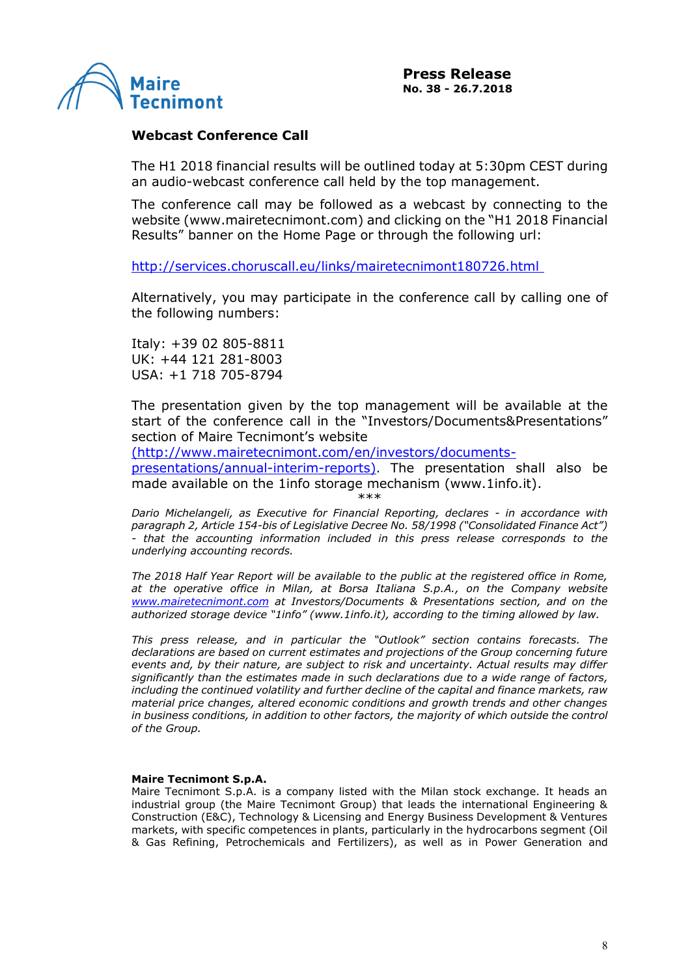

#### **Webcast Conference Call**

The H1 2018 financial results will be outlined today at 5:30pm CEST during an audio-webcast conference call held by the top management.

The conference call may be followed as a webcast by connecting to the website [\(www.mairetecnimont.com\)](http://www.mairetecnimont.com/) and clicking on the "H1 2018 Financial Results" banner on the Home Page or through the following url:

<http://services.choruscall.eu/links/mairetecnimont180726.html>

Alternatively, you may participate in the conference call by calling one of the following numbers:

Italy: +39 02 805-8811 UK: +44 121 281-8003 USA: +1 718 705-8794

The presentation given by the top management will be available at the start of the conference call in the "Investors/Documents&Presentations" section of Maire Tecnimont's website

(http://www.mairetecnimont.com/en/investors/documents-

presentations/annual-interim-reports). The presentation shall also be made available on the 1info storage mechanism (www.1info.it).

\*\*\*

*Dario Michelangeli, as Executive for Financial Reporting, declares - in accordance with paragraph 2, Article 154-bis of Legislative Decree No. 58/1998 ("Consolidated Finance Act") - that the accounting information included in this press release corresponds to the underlying accounting records.*

*The 2018 Half Year Report will be available to the public at the registered office in Rome, at the operative office in Milan, at Borsa Italiana S.p.A., on the Company website www.mairetecnimont.com at Investors/Documents & Presentations section, and on the authorized storage device "1info" ([www.1info.it\)](http://www.1info.it/), according to the timing allowed by law.*

*This press release, and in particular the "Outlook" section contains forecasts. The declarations are based on current estimates and projections of the Group concerning future events and, by their nature, are subject to risk and uncertainty. Actual results may differ significantly than the estimates made in such declarations due to a wide range of factors, including the continued volatility and further decline of the capital and finance markets, raw material price changes, altered economic conditions and growth trends and other changes in business conditions, in addition to other factors, the majority of which outside the control of the Group.*

#### **Maire Tecnimont S.p.A.**

Maire Tecnimont S.p.A. is a company listed with the Milan stock exchange. It heads an industrial group (the Maire Tecnimont Group) that leads the international Engineering & Construction (E&C), Technology & Licensing and Energy Business Development & Ventures markets, with specific competences in plants, particularly in the hydrocarbons segment (Oil & Gas Refining, Petrochemicals and Fertilizers), as well as in Power Generation and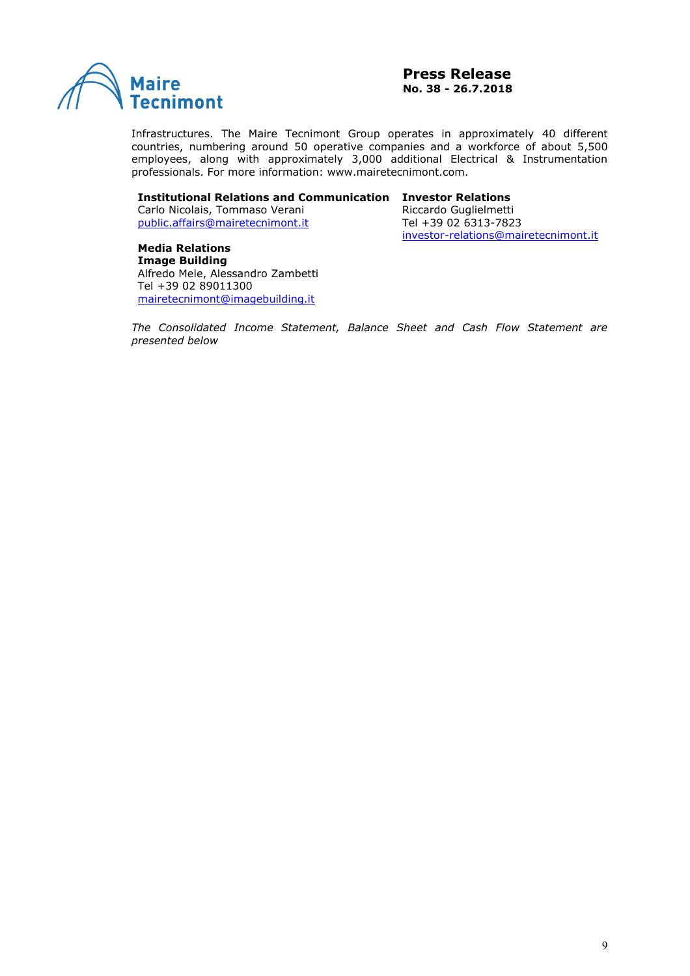

Infrastructures. The Maire Tecnimont Group operates in approximately 40 different countries, numbering around 50 operative companies and a workforce of about 5,500 employees, along with approximately 3,000 additional Electrical & Instrumentation professionals. For more information: www.mairetecnimont.com.

#### **Institutional Relations and Communication Investor Relations**

Carlo Nicolais, Tommaso Verani [public.affairs@mairetecnimont.it](mailto:public.affairs@mairetecnimont.it)

Riccardo Guglielmetti Tel +39 02 6313-7823 [investor-relations@mairetecnimont.it](mailto:investor-relations@mairetecnimont.it)

**Media Relations [Image Building](http://www.imagebuilding.it/)** Alfredo Mele, Alessandro Zambetti Tel +39 02 89011300 [mairetecnimont@imagebuilding.it](mailto:mairetecnimont@imagebuilding.it)

*The Consolidated Income Statement, Balance Sheet and Cash Flow Statement are presented below*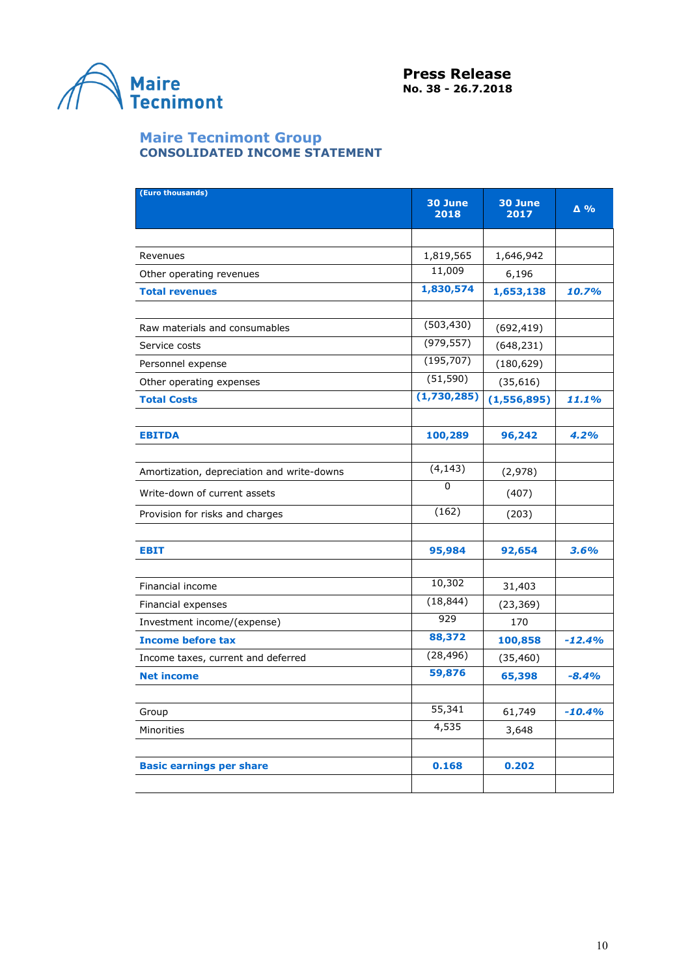

#### **Maire Tecnimont Group CONSOLIDATED INCOME STATEMENT**

| (Euro thousands)                           | 30 June<br>2018 | 30 June<br>2017 | $\Delta$ % |
|--------------------------------------------|-----------------|-----------------|------------|
|                                            |                 |                 |            |
| Revenues                                   | 1,819,565       | 1,646,942       |            |
| Other operating revenues                   | 11,009          | 6,196           |            |
| <b>Total revenues</b>                      | 1,830,574       | 1,653,138       | 10.7%      |
|                                            |                 |                 |            |
| Raw materials and consumables              | (503, 430)      | (692, 419)      |            |
| Service costs                              | (979, 557)      | (648, 231)      |            |
| Personnel expense                          | (195, 707)      | (180, 629)      |            |
| Other operating expenses                   | (51, 590)       | (35, 616)       |            |
| <b>Total Costs</b>                         | (1,730,285)     | (1,556,895)     | 11.1%      |
|                                            |                 |                 |            |
| <b>EBITDA</b>                              | 100,289         | 96,242          | 4.2%       |
|                                            |                 |                 |            |
| Amortization, depreciation and write-downs | (4, 143)        | (2,978)         |            |
| Write-down of current assets               | 0               | (407)           |            |
| Provision for risks and charges            | (162)           | (203)           |            |
|                                            |                 |                 |            |
| <b>EBIT</b>                                | 95,984          | 92,654          | 3.6%       |
|                                            |                 |                 |            |
| Financial income                           | 10,302          | 31,403          |            |
| Financial expenses                         | (18, 844)       | (23, 369)       |            |
| Investment income/(expense)                | 929             | 170             |            |
| <b>Income before tax</b>                   | 88,372          | 100,858         | $-12.4%$   |
| Income taxes, current and deferred         | (28, 496)       | (35, 460)       |            |
| <b>Net income</b>                          | 59,876          | 65,398          | $-8.4%$    |
|                                            |                 |                 |            |
| Group                                      | 55,341          | 61,749          | $-10.4%$   |
| Minorities                                 | 4,535           | 3,648           |            |
|                                            |                 |                 |            |
| <b>Basic earnings per share</b>            | 0.168           | 0.202           |            |
|                                            |                 |                 |            |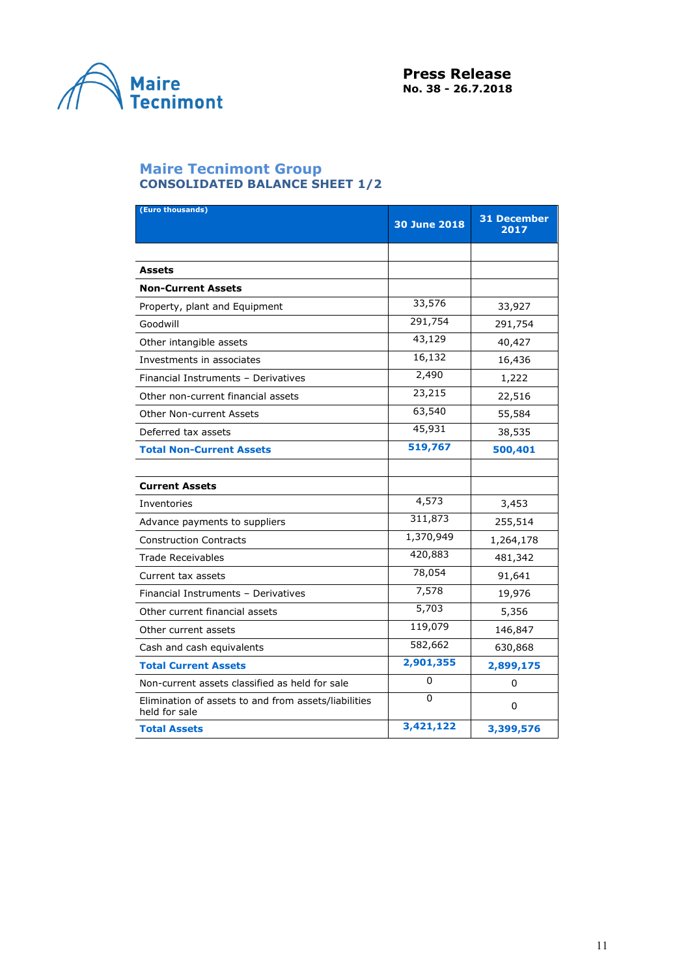

# **Maire Tecnimont Group CONSOLIDATED BALANCE SHEET 1/2**

| (Euro thousands)                                                      | <b>30 June 2018</b> | <b>31 December</b><br>2017 |
|-----------------------------------------------------------------------|---------------------|----------------------------|
|                                                                       |                     |                            |
| <b>Assets</b>                                                         |                     |                            |
| <b>Non-Current Assets</b>                                             |                     |                            |
| Property, plant and Equipment                                         | 33,576              | 33,927                     |
| Goodwill                                                              | 291,754             | 291,754                    |
| Other intangible assets                                               | 43,129              | 40,427                     |
| Investments in associates                                             | 16,132              | 16,436                     |
| Financial Instruments - Derivatives                                   | 2,490               | 1,222                      |
| Other non-current financial assets                                    | 23,215              | 22,516                     |
| Other Non-current Assets                                              | 63,540              | 55,584                     |
| Deferred tax assets                                                   | 45,931              | 38,535                     |
| <b>Total Non-Current Assets</b>                                       | 519,767             | 500,401                    |
|                                                                       |                     |                            |
| <b>Current Assets</b>                                                 |                     |                            |
| Inventories                                                           | 4,573               | 3,453                      |
| Advance payments to suppliers                                         | 311,873             | 255,514                    |
| <b>Construction Contracts</b>                                         | 1,370,949           | 1,264,178                  |
| <b>Trade Receivables</b>                                              | 420,883             | 481,342                    |
| Current tax assets                                                    | 78,054              | 91,641                     |
| Financial Instruments - Derivatives                                   | 7,578               | 19,976                     |
| Other current financial assets                                        | 5,703               | 5,356                      |
| Other current assets                                                  | 119,079             | 146,847                    |
| Cash and cash equivalents                                             | 582,662             | 630,868                    |
| <b>Total Current Assets</b>                                           | 2,901,355           | 2,899,175                  |
| Non-current assets classified as held for sale                        | 0                   | 0                          |
| Elimination of assets to and from assets/liabilities<br>held for sale | 0                   | 0                          |
| <b>Total Assets</b>                                                   | 3,421,122           | 3,399,576                  |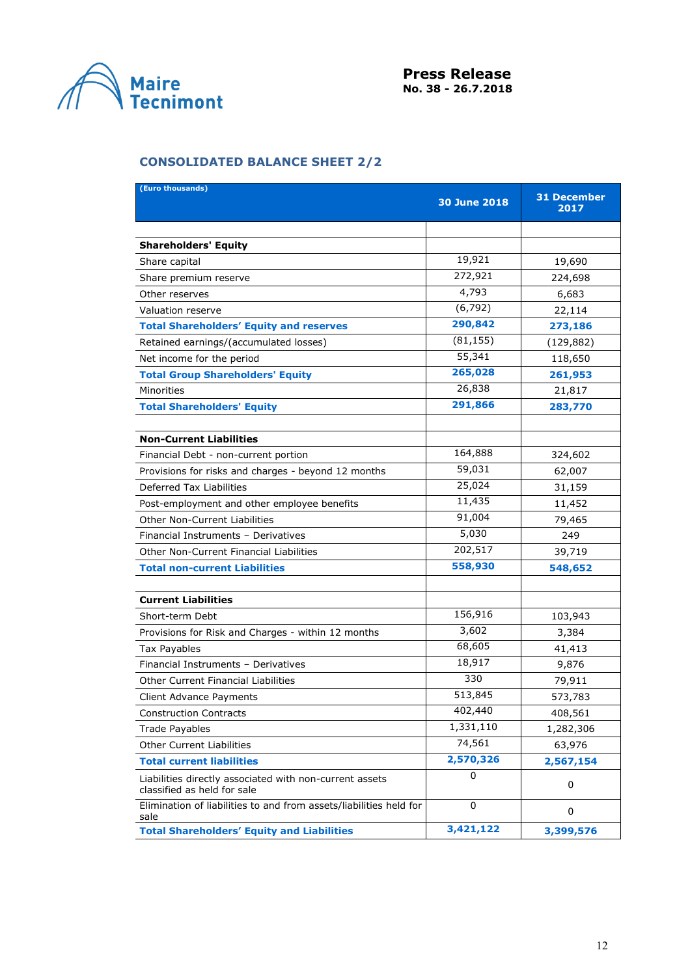

# **CONSOLIDATED BALANCE SHEET 2/2**

| (Euro thousands)                                                                       | <b>30 June 2018</b> | <b>31 December</b><br>2017 |
|----------------------------------------------------------------------------------------|---------------------|----------------------------|
|                                                                                        |                     |                            |
| <b>Shareholders' Equity</b>                                                            |                     |                            |
| Share capital                                                                          | 19,921              | 19,690                     |
| Share premium reserve                                                                  | 272,921             | 224,698                    |
| Other reserves                                                                         | 4,793               | 6,683                      |
| Valuation reserve                                                                      | (6, 792)            | 22,114                     |
| <b>Total Shareholders' Equity and reserves</b>                                         | 290,842             | 273,186                    |
| Retained earnings/(accumulated losses)                                                 | (81, 155)           | (129, 882)                 |
| Net income for the period                                                              | 55,341              | 118,650                    |
| <b>Total Group Shareholders' Equity</b>                                                | 265,028             | 261,953                    |
| Minorities                                                                             | 26,838              | 21,817                     |
| <b>Total Shareholders' Equity</b>                                                      | 291,866             | 283,770                    |
|                                                                                        |                     |                            |
| <b>Non-Current Liabilities</b>                                                         |                     |                            |
| Financial Debt - non-current portion                                                   | 164,888             | 324,602                    |
| Provisions for risks and charges - beyond 12 months                                    | 59,031              | 62,007                     |
| Deferred Tax Liabilities                                                               | 25,024              | 31,159                     |
| Post-employment and other employee benefits                                            | 11,435              | 11,452                     |
| <b>Other Non-Current Liabilities</b>                                                   | 91,004              | 79,465                     |
| Financial Instruments - Derivatives                                                    | 5,030               | 249                        |
| Other Non-Current Financial Liabilities                                                | 202,517             | 39,719                     |
| <b>Total non-current Liabilities</b>                                                   | 558,930             | 548,652                    |
|                                                                                        |                     |                            |
| <b>Current Liabilities</b>                                                             |                     |                            |
| Short-term Debt                                                                        | 156,916             | 103,943                    |
| Provisions for Risk and Charges - within 12 months                                     | 3,602               | 3,384                      |
| Tax Payables                                                                           | 68,605              | 41,413                     |
| Financial Instruments - Derivatives                                                    | 18,917              | 9,876                      |
| <b>Other Current Financial Liabilities</b>                                             | 330                 | 79,911                     |
| Client Advance Payments                                                                | 513,845             | 573,783                    |
| <b>Construction Contracts</b>                                                          | 402,440             | 408,561                    |
| <b>Trade Payables</b>                                                                  | 1,331,110           | 1,282,306                  |
| Other Current Liabilities                                                              | 74,561              | 63,976                     |
| <b>Total current liabilities</b>                                                       | 2,570,326           | 2,567,154                  |
| Liabilities directly associated with non-current assets<br>classified as held for sale | 0                   | 0                          |
| Elimination of liabilities to and from assets/liabilities held for<br>sale             | $\mathbf 0$         | 0                          |
| <b>Total Shareholders' Equity and Liabilities</b>                                      | 3,421,122           | 3,399,576                  |